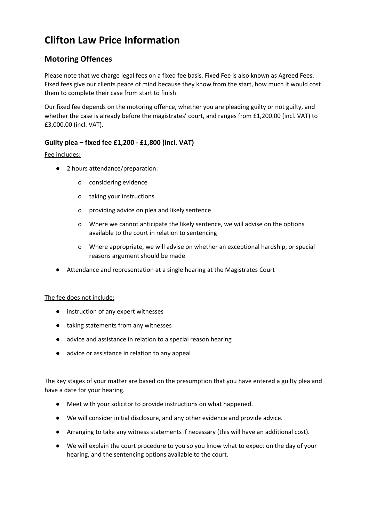# **Clifton Law Price Information**

# **Motoring Offences**

Please note that we charge legal fees on a fixed fee basis. Fixed Fee is also known as Agreed Fees. Fixed fees give our clients peace of mind because they know from the start, how much it would cost them to complete their case from start to finish.

Our fixed fee depends on the motoring offence, whether you are pleading guilty or not guilty, and whether the case is already before the magistrates' court, and ranges from £1,200.00 (incl. VAT) to £3,000.00 (incl. VAT).

## **Guilty plea – fixed fee £1,200 - £1,800 (incl. VAT)**

## Fee includes:

- 2 hours attendance/preparation:
	- o considering evidence
	- o taking your instructions
	- o providing advice on plea and likely sentence
	- o Where we cannot anticipate the likely sentence, we will advise on the options available to the court in relation to sentencing
	- o Where appropriate, we will advise on whether an exceptional hardship, or special reasons argument should be made
- Attendance and representation at a single hearing at the Magistrates Court

## The fee does not include:

- instruction of any expert witnesses
- taking statements from any witnesses
- advice and assistance in relation to a special reason hearing
- advice or assistance in relation to any appeal

The key stages of your matter are based on the presumption that you have entered a guilty plea and have a date for your hearing.

- Meet with your solicitor to provide instructions on what happened.
- We will consider initial disclosure, and any other evidence and provide advice.
- Arranging to take any witness statements if necessary (this will have an additional cost).
- We will explain the court procedure to you so you know what to expect on the day of your hearing, and the sentencing options available to the court.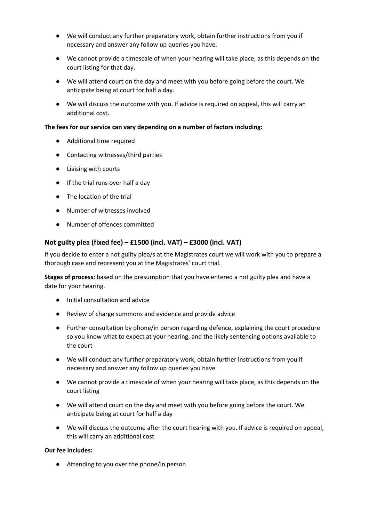- We will conduct any further preparatory work, obtain further instructions from you if necessary and answer any follow up queries you have.
- We cannot provide a timescale of when your hearing will take place, as this depends on the court listing for that day.
- We will attend court on the day and meet with you before going before the court. We anticipate being at court for half a day.
- We will discuss the outcome with you. If advice is required on appeal, this will carry an additional cost.

#### **The fees for our service can vary depending on a number of factors including:**

- Additional time required
- Contacting witnesses/third parties
- Liaising with courts
- If the trial runs over half a day
- The location of the trial
- Number of witnesses involved
- Number of offences committed

## **Not guilty plea (fixed fee) – £1500 (incl. VAT) – £3000 (incl. VAT)**

If you decide to enter a not guilty plea/s at the Magistrates court we will work with you to prepare a thorough case and represent you at the Magistrates' court trial.

**Stages of process:** based on the presumption that you have entered a not guilty plea and have a date for your hearing.

- Initial consultation and advice
- Review of charge summons and evidence and provide advice
- Further consultation by phone/in person regarding defence, explaining the court procedure so you know what to expect at your hearing, and the likely sentencing options available to the court
- We will conduct any further preparatory work, obtain further instructions from you if necessary and answer any follow up queries you have
- We cannot provide a timescale of when your hearing will take place, as this depends on the court listing
- We will attend court on the day and meet with you before going before the court. We anticipate being at court for half a day
- We will discuss the outcome after the court hearing with you. If advice is required on appeal, this will carry an additional cost

#### **Our fee includes:**

● Attending to you over the phone/in person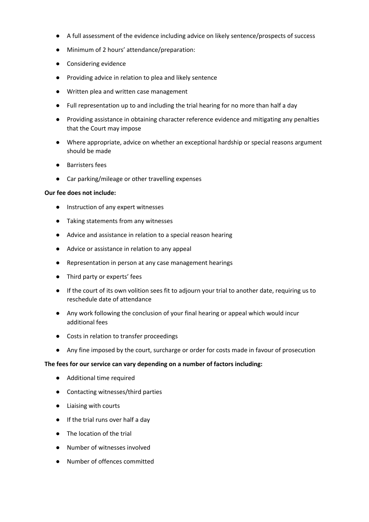- A full assessment of the evidence including advice on likely sentence/prospects of success
- Minimum of 2 hours' attendance/preparation:
- Considering evidence
- Providing advice in relation to plea and likely sentence
- Written plea and written case management
- Full representation up to and including the trial hearing for no more than half a day
- Providing assistance in obtaining character reference evidence and mitigating any penalties that the Court may impose
- Where appropriate, advice on whether an exceptional hardship or special reasons argument should be made
- Barristers fees
- Car parking/mileage or other travelling expenses

#### **Our fee does not include:**

- Instruction of any expert witnesses
- Taking statements from any witnesses
- Advice and assistance in relation to a special reason hearing
- Advice or assistance in relation to any appeal
- Representation in person at any case management hearings
- Third party or experts' fees
- If the court of its own volition sees fit to adjourn your trial to another date, requiring us to reschedule date of attendance
- Any work following the conclusion of your final hearing or appeal which would incur additional fees
- Costs in relation to transfer proceedings
- Any fine imposed by the court, surcharge or order for costs made in favour of prosecution

#### **The fees for our service can vary depending on a number of factors including:**

- Additional time required
- Contacting witnesses/third parties
- Liaising with courts
- If the trial runs over half a day
- The location of the trial
- Number of witnesses involved
- Number of offences committed